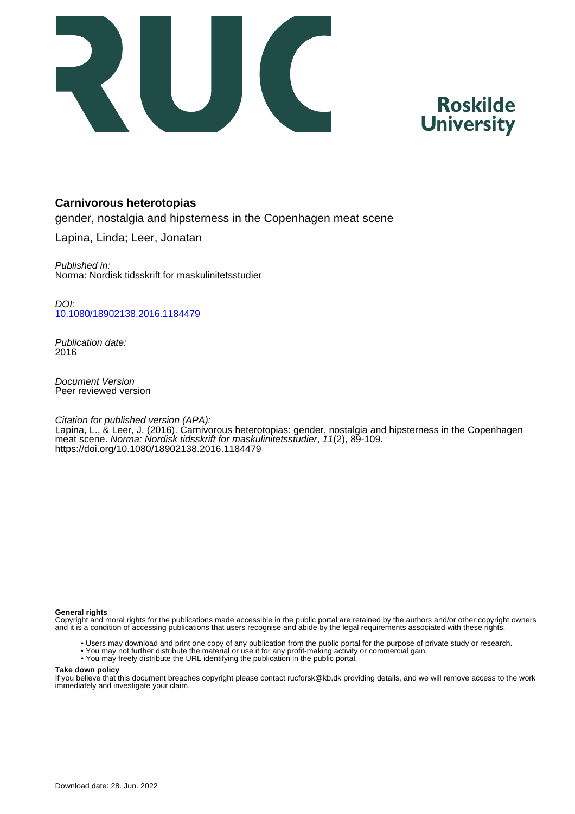

# **Roskilde University**

### **Carnivorous heterotopias**

gender, nostalgia and hipsterness in the Copenhagen meat scene

Lapina, Linda; Leer, Jonatan

Published in: Norma: Nordisk tidsskrift for maskulinitetsstudier

DOI: [10.1080/18902138.2016.1184479](https://doi.org/10.1080/18902138.2016.1184479)

Publication date: 2016

Document Version Peer reviewed version

Citation for published version (APA):

Lapina, L., & Leer, J. (2016). Carnivorous heterotopias: gender, nostalgia and hipsterness in the Copenhagen meat scene. Norma: Nordisk tidsskrift for maskulinitetsstudier, 11(2), 89-109. <https://doi.org/10.1080/18902138.2016.1184479>

#### **General rights**

Copyright and moral rights for the publications made accessible in the public portal are retained by the authors and/or other copyright owners and it is a condition of accessing publications that users recognise and abide by the legal requirements associated with these rights.

- Users may download and print one copy of any publication from the public portal for the purpose of private study or research.
- You may not further distribute the material or use it for any profit-making activity or commercial gain.
- You may freely distribute the URL identifying the publication in the public portal.

#### **Take down policy**

If you believe that this document breaches copyright please contact rucforsk@kb.dk providing details, and we will remove access to the work immediately and investigate your claim.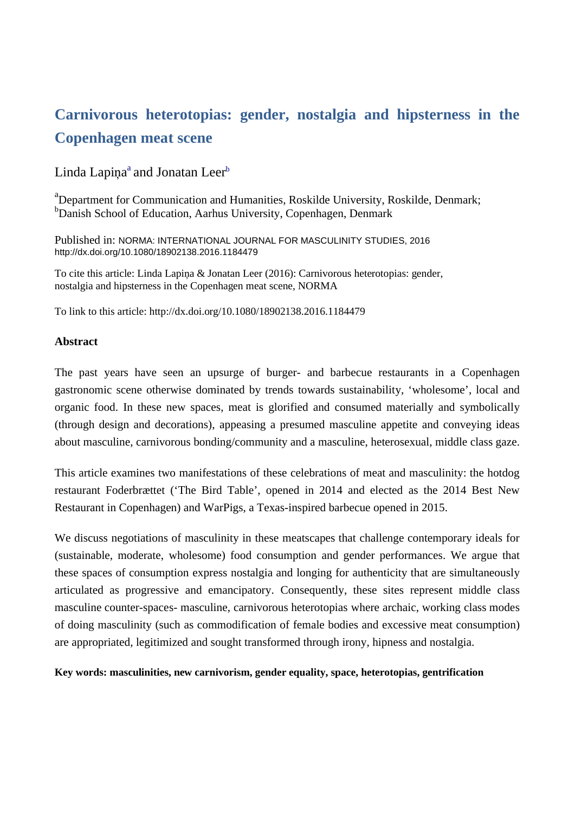## **Carnivorous heterotopias: gender, nostalgia and hipsterness in the Copenhagen meat scene**

## Linda Lapiņa<sup>a</sup> and Jonatan Leer<sup>b</sup>

<sup>a</sup>Department for Communication and Humanities, Roskilde University, Roskilde, Denmark; <sup>b</sup>Danish School of Education, Aarhus University, Copenhagen, Denmark

Published in: NORMA: INTERNATIONAL JOURNAL FOR MASCULINITY STUDIES, 2016 http://dx.doi.org/10.1080/18902138.2016.1184479

To cite this article: Linda Lapiņa & Jonatan Leer (2016): Carnivorous heterotopias: gender, nostalgia and hipsterness in the Copenhagen meat scene, NORMA

To link to this article: http://dx.doi.org/10.1080/18902138.2016.1184479

#### **Abstract**

The past years have seen an upsurge of burger- and barbecue restaurants in a Copenhagen gastronomic scene otherwise dominated by trends towards sustainability, 'wholesome', local and organic food. In these new spaces, meat is glorified and consumed materially and symbolically (through design and decorations), appeasing a presumed masculine appetite and conveying ideas about masculine, carnivorous bonding/community and a masculine, heterosexual, middle class gaze.

This article examines two manifestations of these celebrations of meat and masculinity: the hotdog restaurant Foderbrættet ('The Bird Table', opened in 2014 and elected as the 2014 Best New Restaurant in Copenhagen) and WarPigs, a Texas-inspired barbecue opened in 2015.

We discuss negotiations of masculinity in these meatscapes that challenge contemporary ideals for (sustainable, moderate, wholesome) food consumption and gender performances. We argue that these spaces of consumption express nostalgia and longing for authenticity that are simultaneously articulated as progressive and emancipatory. Consequently, these sites represent middle class masculine counter-spaces- masculine, carnivorous heterotopias where archaic, working class modes of doing masculinity (such as commodification of female bodies and excessive meat consumption) are appropriated, legitimized and sought transformed through irony, hipness and nostalgia.

**Key words: masculinities, new carnivorism, gender equality, space, heterotopias, gentrification**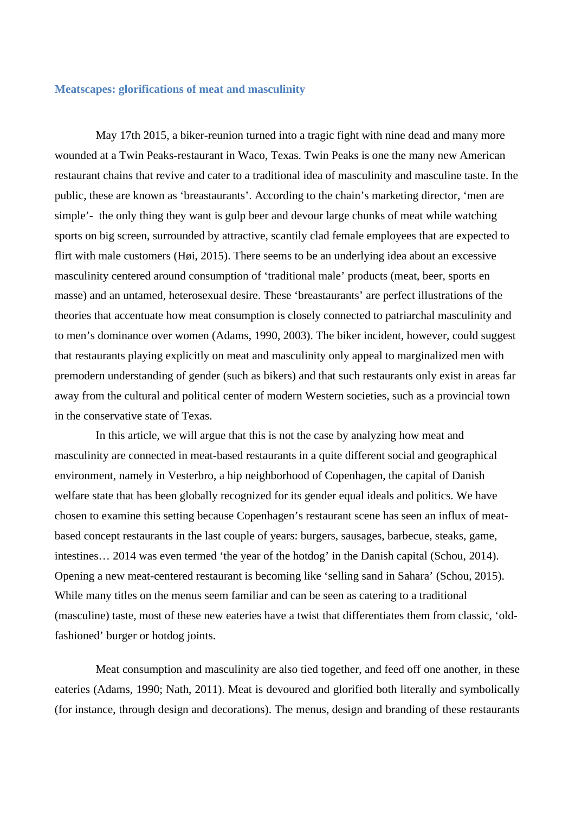#### **Meatscapes: glorifications of meat and masculinity**

May 17th 2015, a biker-reunion turned into a tragic fight with nine dead and many more wounded at a Twin Peaks-restaurant in Waco, Texas. Twin Peaks is one the many new American restaurant chains that revive and cater to a traditional idea of masculinity and masculine taste. In the public, these are known as 'breastaurants'. According to the chain's marketing director, 'men are simple'- the only thing they want is gulp beer and devour large chunks of meat while watching sports on big screen, surrounded by attractive, scantily clad female employees that are expected to flirt with male customers (Høi, 2015). There seems to be an underlying idea about an excessive masculinity centered around consumption of 'traditional male' products (meat, beer, sports en masse) and an untamed, heterosexual desire. These 'breastaurants' are perfect illustrations of the theories that accentuate how meat consumption is closely connected to patriarchal masculinity and to men's dominance over women (Adams, 1990, 2003). The biker incident, however, could suggest that restaurants playing explicitly on meat and masculinity only appeal to marginalized men with premodern understanding of gender (such as bikers) and that such restaurants only exist in areas far away from the cultural and political center of modern Western societies, such as a provincial town in the conservative state of Texas.

In this article, we will argue that this is not the case by analyzing how meat and masculinity are connected in meat-based restaurants in a quite different social and geographical environment, namely in Vesterbro, a hip neighborhood of Copenhagen, the capital of Danish welfare state that has been globally recognized for its gender equal ideals and politics. We have chosen to examine this setting because Copenhagen's restaurant scene has seen an influx of meatbased concept restaurants in the last couple of years: burgers, sausages, barbecue, steaks, game, intestines… 2014 was even termed 'the year of the hotdog' in the Danish capital (Schou, 2014). Opening a new meat-centered restaurant is becoming like 'selling sand in Sahara' (Schou, 2015). While many titles on the menus seem familiar and can be seen as catering to a traditional (masculine) taste, most of these new eateries have a twist that differentiates them from classic, 'oldfashioned' burger or hotdog joints.

Meat consumption and masculinity are also tied together, and feed off one another, in these eateries (Adams, 1990; Nath, 2011). Meat is devoured and glorified both literally and symbolically (for instance, through design and decorations). The menus, design and branding of these restaurants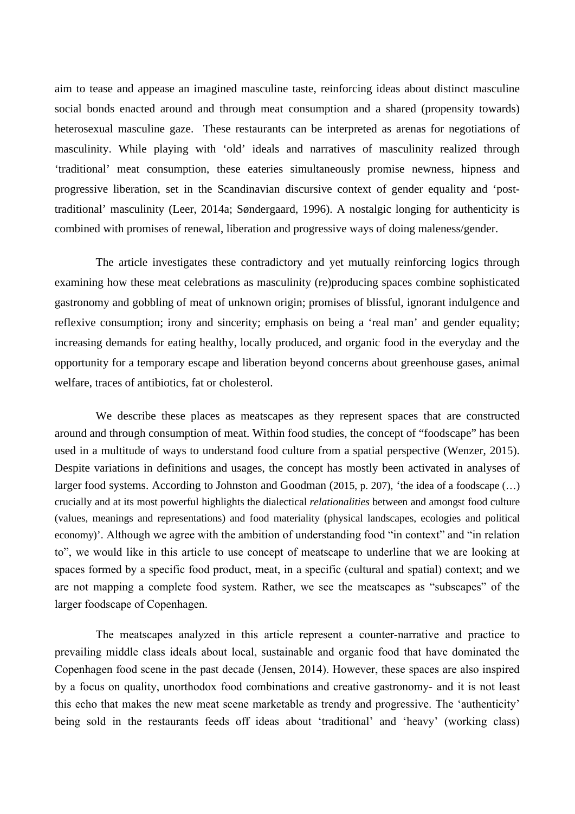aim to tease and appease an imagined masculine taste, reinforcing ideas about distinct masculine social bonds enacted around and through meat consumption and a shared (propensity towards) heterosexual masculine gaze. These restaurants can be interpreted as arenas for negotiations of masculinity. While playing with 'old' ideals and narratives of masculinity realized through 'traditional' meat consumption, these eateries simultaneously promise newness, hipness and progressive liberation, set in the Scandinavian discursive context of gender equality and 'posttraditional' masculinity (Leer, 2014a; Søndergaard, 1996). A nostalgic longing for authenticity is combined with promises of renewal, liberation and progressive ways of doing maleness/gender.

The article investigates these contradictory and yet mutually reinforcing logics through examining how these meat celebrations as masculinity (re)producing spaces combine sophisticated gastronomy and gobbling of meat of unknown origin; promises of blissful, ignorant indulgence and reflexive consumption; irony and sincerity; emphasis on being a 'real man' and gender equality; increasing demands for eating healthy, locally produced, and organic food in the everyday and the opportunity for a temporary escape and liberation beyond concerns about greenhouse gases, animal welfare, traces of antibiotics, fat or cholesterol.

We describe these places as meatscapes as they represent spaces that are constructed around and through consumption of meat. Within food studies, the concept of "foodscape" has been used in a multitude of ways to understand food culture from a spatial perspective (Wenzer, 2015). Despite variations in definitions and usages, the concept has mostly been activated in analyses of larger food systems. According to Johnston and Goodman (2015, p. 207), 'the idea of a foodscape (…) crucially and at its most powerful highlights the dialectical *relationalities* between and amongst food culture (values, meanings and representations) and food materiality (physical landscapes, ecologies and political economy)'. Although we agree with the ambition of understanding food "in context" and "in relation to", we would like in this article to use concept of meatscape to underline that we are looking at spaces formed by a specific food product, meat, in a specific (cultural and spatial) context; and we are not mapping a complete food system. Rather, we see the meatscapes as "subscapes" of the larger foodscape of Copenhagen.

The meatscapes analyzed in this article represent a counter-narrative and practice to prevailing middle class ideals about local, sustainable and organic food that have dominated the Copenhagen food scene in the past decade (Jensen, 2014). However, these spaces are also inspired by a focus on quality, unorthodox food combinations and creative gastronomy- and it is not least this echo that makes the new meat scene marketable as trendy and progressive. The 'authenticity' being sold in the restaurants feeds off ideas about 'traditional' and 'heavy' (working class)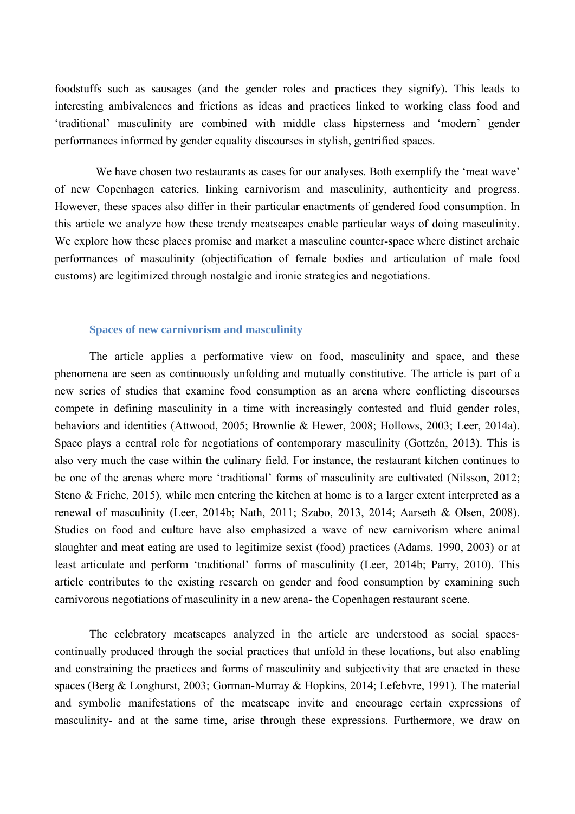foodstuffs such as sausages (and the gender roles and practices they signify). This leads to interesting ambivalences and frictions as ideas and practices linked to working class food and 'traditional' masculinity are combined with middle class hipsterness and 'modern' gender performances informed by gender equality discourses in stylish, gentrified spaces.

We have chosen two restaurants as cases for our analyses. Both exemplify the 'meat wave' of new Copenhagen eateries, linking carnivorism and masculinity, authenticity and progress. However, these spaces also differ in their particular enactments of gendered food consumption. In this article we analyze how these trendy meatscapes enable particular ways of doing masculinity. We explore how these places promise and market a masculine counter-space where distinct archaic performances of masculinity (objectification of female bodies and articulation of male food customs) are legitimized through nostalgic and ironic strategies and negotiations.

#### **Spaces of new carnivorism and masculinity**

The article applies a performative view on food, masculinity and space, and these phenomena are seen as continuously unfolding and mutually constitutive. The article is part of a new series of studies that examine food consumption as an arena where conflicting discourses compete in defining masculinity in a time with increasingly contested and fluid gender roles, behaviors and identities (Attwood, 2005; Brownlie & Hewer, 2008; Hollows, 2003; Leer, 2014a). Space plays a central role for negotiations of contemporary masculinity (Gottzén, 2013). This is also very much the case within the culinary field. For instance, the restaurant kitchen continues to be one of the arenas where more 'traditional' forms of masculinity are cultivated (Nilsson, 2012; Steno & Friche, 2015), while men entering the kitchen at home is to a larger extent interpreted as a renewal of masculinity (Leer, 2014b; Nath, 2011; Szabo, 2013, 2014; Aarseth & Olsen, 2008). Studies on food and culture have also emphasized a wave of new carnivorism where animal slaughter and meat eating are used to legitimize sexist (food) practices (Adams, 1990, 2003) or at least articulate and perform 'traditional' forms of masculinity (Leer, 2014b; Parry, 2010). This article contributes to the existing research on gender and food consumption by examining such carnivorous negotiations of masculinity in a new arena- the Copenhagen restaurant scene.

The celebratory meatscapes analyzed in the article are understood as social spacescontinually produced through the social practices that unfold in these locations, but also enabling and constraining the practices and forms of masculinity and subjectivity that are enacted in these spaces (Berg & Longhurst, 2003; Gorman-Murray & Hopkins, 2014; Lefebvre, 1991). The material and symbolic manifestations of the meatscape invite and encourage certain expressions of masculinity- and at the same time, arise through these expressions. Furthermore, we draw on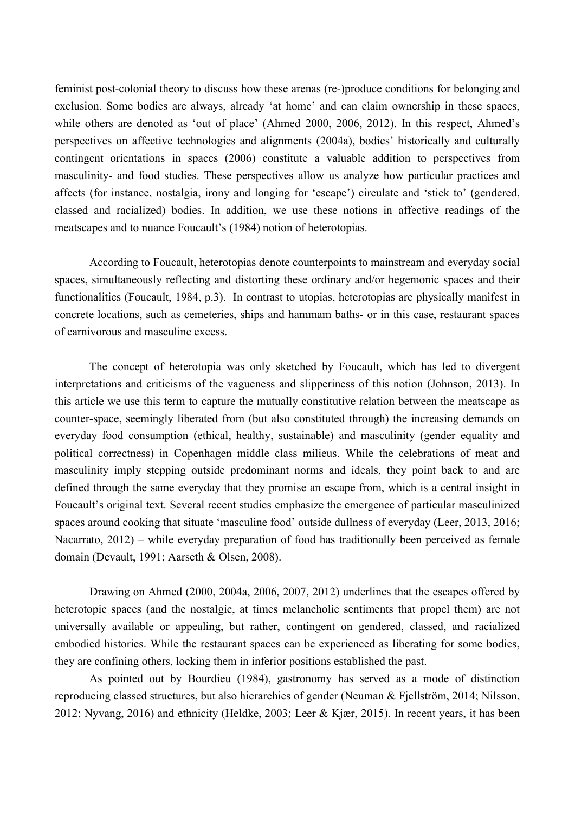feminist post-colonial theory to discuss how these arenas (re-)produce conditions for belonging and exclusion. Some bodies are always, already 'at home' and can claim ownership in these spaces, while others are denoted as 'out of place' (Ahmed 2000, 2006, 2012). In this respect, Ahmed's perspectives on affective technologies and alignments (2004a), bodies' historically and culturally contingent orientations in spaces (2006) constitute a valuable addition to perspectives from masculinity- and food studies. These perspectives allow us analyze how particular practices and affects (for instance, nostalgia, irony and longing for 'escape') circulate and 'stick to' (gendered, classed and racialized) bodies. In addition, we use these notions in affective readings of the meatscapes and to nuance Foucault's (1984) notion of heterotopias.

According to Foucault, heterotopias denote counterpoints to mainstream and everyday social spaces, simultaneously reflecting and distorting these ordinary and/or hegemonic spaces and their functionalities (Foucault, 1984, p.3). In contrast to utopias, heterotopias are physically manifest in concrete locations, such as cemeteries, ships and hammam baths- or in this case, restaurant spaces of carnivorous and masculine excess.

The concept of heterotopia was only sketched by Foucault, which has led to divergent interpretations and criticisms of the vagueness and slipperiness of this notion (Johnson, 2013). In this article we use this term to capture the mutually constitutive relation between the meatscape as counter-space, seemingly liberated from (but also constituted through) the increasing demands on everyday food consumption (ethical, healthy, sustainable) and masculinity (gender equality and political correctness) in Copenhagen middle class milieus. While the celebrations of meat and masculinity imply stepping outside predominant norms and ideals, they point back to and are defined through the same everyday that they promise an escape from, which is a central insight in Foucault's original text. Several recent studies emphasize the emergence of particular masculinized spaces around cooking that situate 'masculine food' outside dullness of everyday (Leer, 2013, 2016; Nacarrato, 2012) – while everyday preparation of food has traditionally been perceived as female domain (Devault, 1991; Aarseth & Olsen, 2008).

Drawing on Ahmed (2000, 2004a, 2006, 2007, 2012) underlines that the escapes offered by heterotopic spaces (and the nostalgic, at times melancholic sentiments that propel them) are not universally available or appealing, but rather, contingent on gendered, classed, and racialized embodied histories. While the restaurant spaces can be experienced as liberating for some bodies, they are confining others, locking them in inferior positions established the past.

As pointed out by Bourdieu (1984), gastronomy has served as a mode of distinction reproducing classed structures, but also hierarchies of gender (Neuman & Fjellström, 2014; Nilsson, 2012; Nyvang, 2016) and ethnicity (Heldke, 2003; Leer & Kjær, 2015). In recent years, it has been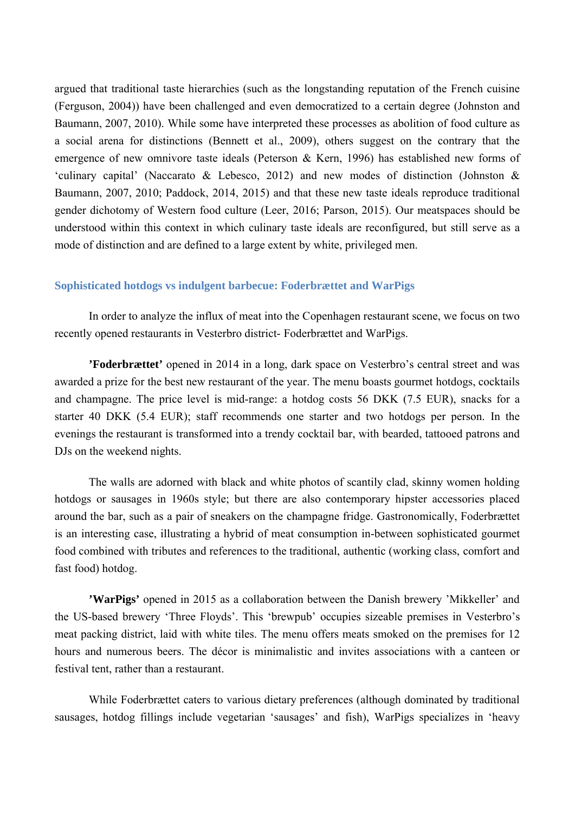argued that traditional taste hierarchies (such as the longstanding reputation of the French cuisine (Ferguson, 2004)) have been challenged and even democratized to a certain degree (Johnston and Baumann, 2007, 2010). While some have interpreted these processes as abolition of food culture as a social arena for distinctions (Bennett et al., 2009), others suggest on the contrary that the emergence of new omnivore taste ideals (Peterson & Kern, 1996) has established new forms of 'culinary capital' (Naccarato & Lebesco, 2012) and new modes of distinction (Johnston & Baumann, 2007, 2010; Paddock, 2014, 2015) and that these new taste ideals reproduce traditional gender dichotomy of Western food culture (Leer, 2016; Parson, 2015). Our meatspaces should be understood within this context in which culinary taste ideals are reconfigured, but still serve as a mode of distinction and are defined to a large extent by white, privileged men.

#### **Sophisticated hotdogs vs indulgent barbecue: Foderbrættet and WarPigs**

In order to analyze the influx of meat into the Copenhagen restaurant scene, we focus on two recently opened restaurants in Vesterbro district- Foderbrættet and WarPigs.

**'Foderbrættet'** opened in 2014 in a long, dark space on Vesterbro's central street and was awarded a prize for the best new restaurant of the year. The menu boasts gourmet hotdogs, cocktails and champagne. The price level is mid-range: a hotdog costs 56 DKK (7.5 EUR), snacks for a starter 40 DKK (5.4 EUR); staff recommends one starter and two hotdogs per person. In the evenings the restaurant is transformed into a trendy cocktail bar, with bearded, tattooed patrons and DJs on the weekend nights.

The walls are adorned with black and white photos of scantily clad, skinny women holding hotdogs or sausages in 1960s style; but there are also contemporary hipster accessories placed around the bar, such as a pair of sneakers on the champagne fridge. Gastronomically, Foderbrættet is an interesting case, illustrating a hybrid of meat consumption in-between sophisticated gourmet food combined with tributes and references to the traditional, authentic (working class, comfort and fast food) hotdog.

**'WarPigs'** opened in 2015 as a collaboration between the Danish brewery 'Mikkeller' and the US-based brewery 'Three Floyds'. This 'brewpub' occupies sizeable premises in Vesterbro's meat packing district, laid with white tiles. The menu offers meats smoked on the premises for 12 hours and numerous beers. The décor is minimalistic and invites associations with a canteen or festival tent, rather than a restaurant.

While Foderbrættet caters to various dietary preferences (although dominated by traditional sausages, hotdog fillings include vegetarian 'sausages' and fish), WarPigs specializes in 'heavy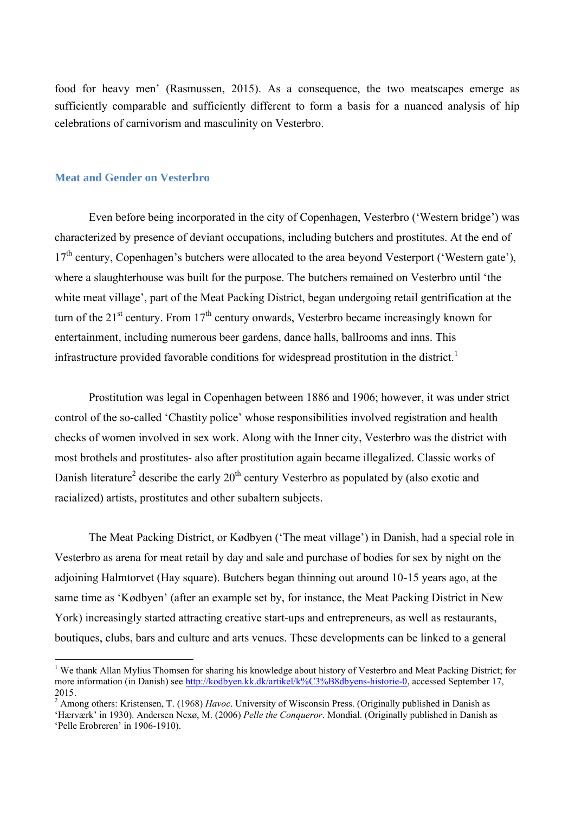food for heavy men' (Rasmussen, 2015). As a consequence, the two meatscapes emerge as sufficiently comparable and sufficiently different to form a basis for a nuanced analysis of hip celebrations of carnivorism and masculinity on Vesterbro.

#### **Meat and Gender on Vesterbro**

Even before being incorporated in the city of Copenhagen, Vesterbro ('Western bridge') was characterized by presence of deviant occupations, including butchers and prostitutes. At the end of 17<sup>th</sup> century. Copenhagen's butchers were allocated to the area beyond Vesterport ('Western gate'), where a slaughterhouse was built for the purpose. The butchers remained on Vesterbro until 'the white meat village', part of the Meat Packing District, began undergoing retail gentrification at the turn of the  $21<sup>st</sup>$  century. From  $17<sup>th</sup>$  century onwards, Vesterbro became increasingly known for entertainment, including numerous beer gardens, dance halls, ballrooms and inns. This infrastructure provided favorable conditions for widespread prostitution in the district.<sup>1</sup>

Prostitution was legal in Copenhagen between 1886 and 1906; however, it was under strict control of the so-called 'Chastity police' whose responsibilities involved registration and health checks of women involved in sex work. Along with the Inner city, Vesterbro was the district with most brothels and prostitutes- also after prostitution again became illegalized. Classic works of Danish literature<sup>2</sup> describe the early  $20<sup>th</sup>$  century Vesterbro as populated by (also exotic and racialized) artists, prostitutes and other subaltern subjects.

The Meat Packing District, or Kødbyen ('The meat village') in Danish, had a special role in Vesterbro as arena for meat retail by day and sale and purchase of bodies for sex by night on the adjoining Halmtorvet (Hay square). Butchers began thinning out around 10-15 years ago, at the same time as 'Kødbyen' (after an example set by, for instance, the Meat Packing District in New York) increasingly started attracting creative start-ups and entrepreneurs, as well as restaurants, boutiques, clubs, bars and culture and arts venues. These developments can be linked to a general

<sup>&</sup>lt;sup>1</sup> We thank Allan Mylius Thomsen for sharing his knowledge about history of Vesterbro and Meat Packing District; for more information (in Danish) see [http://kodbyen.kk.dk/artikel/k%C3%B8dbyens-historie-0,](http://kodbyen.kk.dk/artikel/k%C3%B8dbyens-historie-0) accessed September 17, 2015.

<sup>2</sup> Among others: Kristensen, T. (1968) *Havoc*. University of Wisconsin Press. (Originally published in Danish as 'Hærværk' in 1930). Andersen Nexø, M. (2006) *Pelle the Conqueror*. Mondial. (Originally published in Danish as 'Pelle Erobreren' in 1906-1910).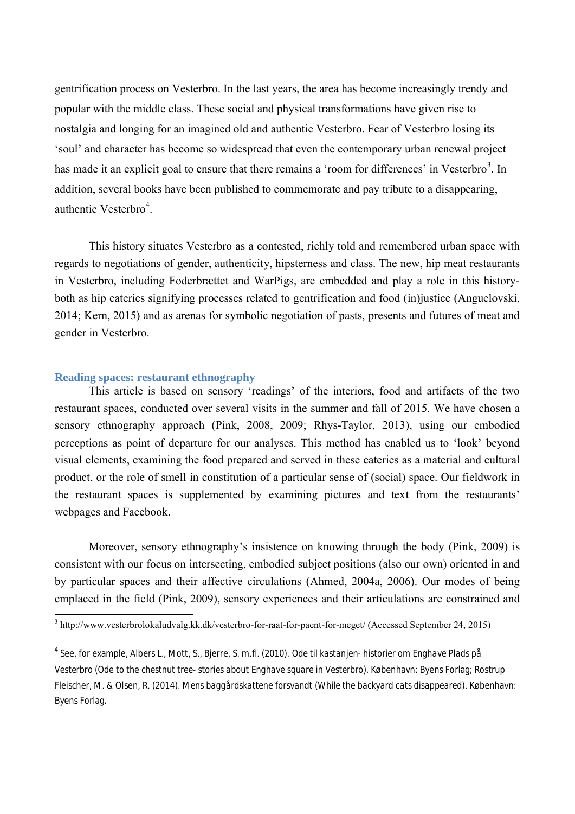gentrification process on Vesterbro. In the last years, the area has become increasingly trendy and popular with the middle class. These social and physical transformations have given rise to nostalgia and longing for an imagined old and authentic Vesterbro. Fear of Vesterbro losing its 'soul' and character has become so widespread that even the contemporary urban renewal project has made it an explicit goal to ensure that there remains a 'room for differences' in Vesterbro<sup>3</sup>. In addition, several books have been published to commemorate and pay tribute to a disappearing, authentic Vesterbro<sup>4</sup>.

This history situates Vesterbro as a contested, richly told and remembered urban space with regards to negotiations of gender, authenticity, hipsterness and class. The new, hip meat restaurants in Vesterbro, including Foderbrættet and WarPigs, are embedded and play a role in this historyboth as hip eateries signifying processes related to gentrification and food (in)justice (Anguelovski, 2014; Kern, 2015) and as arenas for symbolic negotiation of pasts, presents and futures of meat and gender in Vesterbro.

### **Reading spaces: restaurant ethnography**

This article is based on sensory 'readings' of the interiors, food and artifacts of the two restaurant spaces, conducted over several visits in the summer and fall of 2015. We have chosen a sensory ethnography approach (Pink, 2008, 2009; Rhys-Taylor, 2013), using our embodied perceptions as point of departure for our analyses. This method has enabled us to 'look' beyond visual elements, examining the food prepared and served in these eateries as a material and cultural product, or the role of smell in constitution of a particular sense of (social) space. Our fieldwork in the restaurant spaces is supplemented by examining pictures and text from the restaurants' webpages and Facebook.

Moreover, sensory ethnography's insistence on knowing through the body (Pink, 2009) is consistent with our focus on intersecting, embodied subject positions (also our own) oriented in and by particular spaces and their affective circulations (Ahmed, 2004a, 2006). Our modes of being emplaced in the field (Pink, 2009), sensory experiences and their articulations are constrained and

<sup>3</sup> http://www.vesterbrolokaludvalg.kk.dk/vesterbro-for-raat-for-paent-for-meget/ (Accessed September 24, 2015)

<sup>4</sup> See, for example, Albers L., Mott, S., Bjerre, S. m.fl. (2010). *Ode til kastanjen- historier om Enghave Plads på Vesterbro (Ode to the chestnut tree- stories about Enghave square in Vesterbro)*. København: Byens Forlag; Rostrup Fleischer, M. & Olsen, R. (2014). *Mens baggårdskattene forsvandt (While the backyard cats disappeared).* København: Byens Forlag.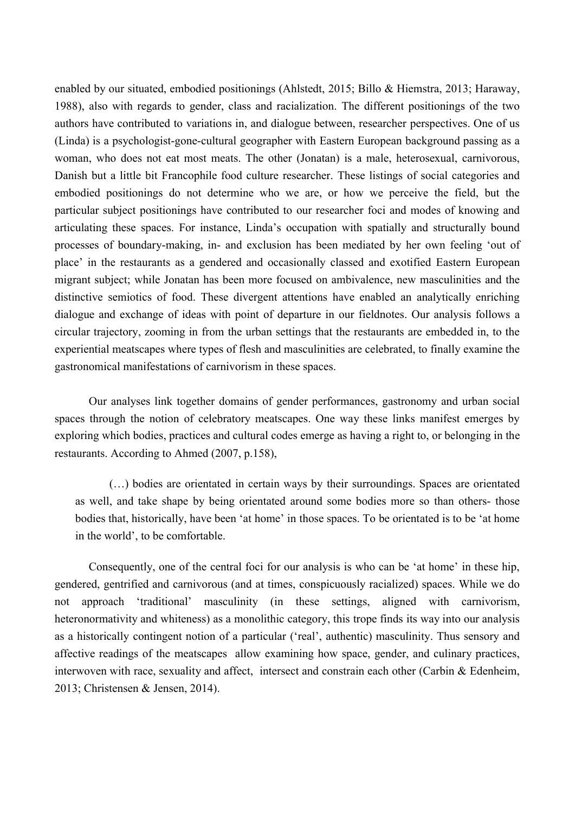enabled by our situated, embodied positionings (Ahlstedt, 2015; Billo & Hiemstra, 2013; Haraway, 1988), also with regards to gender, class and racialization. The different positionings of the two authors have contributed to variations in, and dialogue between, researcher perspectives. One of us (Linda) is a psychologist-gone-cultural geographer with Eastern European background passing as a woman, who does not eat most meats. The other (Jonatan) is a male, heterosexual, carnivorous, Danish but a little bit Francophile food culture researcher. These listings of social categories and embodied positionings do not determine who we are, or how we perceive the field, but the particular subject positionings have contributed to our researcher foci and modes of knowing and articulating these spaces. For instance, Linda's occupation with spatially and structurally bound processes of boundary-making, in- and exclusion has been mediated by her own feeling 'out of place' in the restaurants as a gendered and occasionally classed and exotified Eastern European migrant subject; while Jonatan has been more focused on ambivalence, new masculinities and the distinctive semiotics of food. These divergent attentions have enabled an analytically enriching dialogue and exchange of ideas with point of departure in our fieldnotes. Our analysis follows a circular trajectory, zooming in from the urban settings that the restaurants are embedded in, to the experiential meatscapes where types of flesh and masculinities are celebrated, to finally examine the gastronomical manifestations of carnivorism in these spaces.

Our analyses link together domains of gender performances, gastronomy and urban social spaces through the notion of celebratory meatscapes. One way these links manifest emerges by exploring which bodies, practices and cultural codes emerge as having a right to, or belonging in the restaurants. According to Ahmed (2007, p.158),

(…) bodies are orientated in certain ways by their surroundings. Spaces are orientated as well, and take shape by being orientated around some bodies more so than others- those bodies that, historically, have been 'at home' in those spaces. To be orientated is to be 'at home in the world', to be comfortable.

Consequently, one of the central foci for our analysis is who can be 'at home' in these hip, gendered, gentrified and carnivorous (and at times, conspicuously racialized) spaces. While we do not approach 'traditional' masculinity (in these settings, aligned with carnivorism, heteronormativity and whiteness) as a monolithic category, this trope finds its way into our analysis as a historically contingent notion of a particular ('real', authentic) masculinity. Thus sensory and affective readings of the meatscapes allow examining how space, gender, and culinary practices, interwoven with race, sexuality and affect, intersect and constrain each other (Carbin & Edenheim, 2013; Christensen & Jensen, 2014).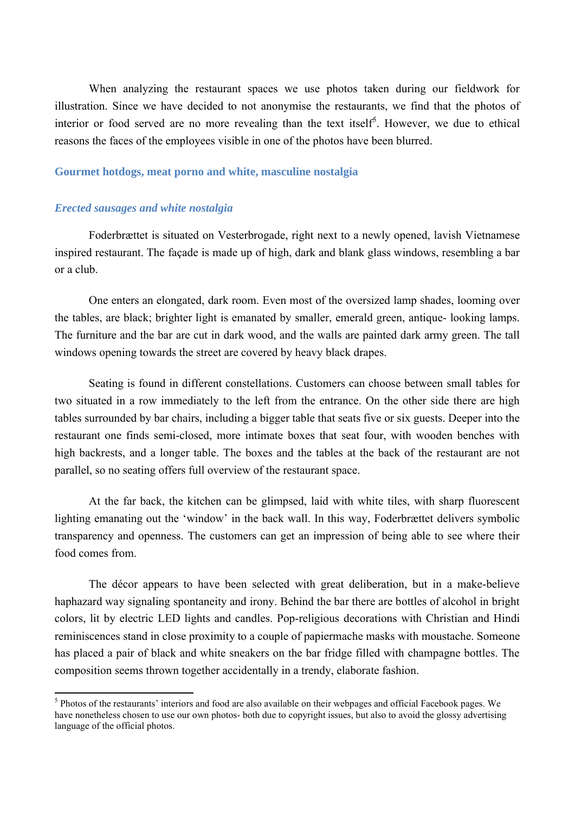When analyzing the restaurant spaces we use photos taken during our fieldwork for illustration. Since we have decided to not anonymise the restaurants, we find that the photos of interior or food served are no more revealing than the text itself<sup>5</sup>. However, we due to ethical reasons the faces of the employees visible in one of the photos have been blurred.

#### **Gourmet hotdogs, meat porno and white, masculine nostalgia**

#### *Erected sausages and white nostalgia*

Foderbrættet is situated on Vesterbrogade, right next to a newly opened, lavish Vietnamese inspired restaurant. The façade is made up of high, dark and blank glass windows, resembling a bar or a club.

One enters an elongated, dark room. Even most of the oversized lamp shades, looming over the tables, are black; brighter light is emanated by smaller, emerald green, antique- looking lamps. The furniture and the bar are cut in dark wood, and the walls are painted dark army green. The tall windows opening towards the street are covered by heavy black drapes.

Seating is found in different constellations. Customers can choose between small tables for two situated in a row immediately to the left from the entrance. On the other side there are high tables surrounded by bar chairs, including a bigger table that seats five or six guests. Deeper into the restaurant one finds semi-closed, more intimate boxes that seat four, with wooden benches with high backrests, and a longer table. The boxes and the tables at the back of the restaurant are not parallel, so no seating offers full overview of the restaurant space.

At the far back, the kitchen can be glimpsed, laid with white tiles, with sharp fluorescent lighting emanating out the 'window' in the back wall. In this way, Foderbrættet delivers symbolic transparency and openness. The customers can get an impression of being able to see where their food comes from.

The décor appears to have been selected with great deliberation, but in a make-believe haphazard way signaling spontaneity and irony. Behind the bar there are bottles of alcohol in bright colors, lit by electric LED lights and candles. Pop-religious decorations with Christian and Hindi reminiscences stand in close proximity to a couple of papiermache masks with moustache. Someone has placed a pair of black and white sneakers on the bar fridge filled with champagne bottles. The composition seems thrown together accidentally in a trendy, elaborate fashion.

<sup>&</sup>lt;sup>5</sup> Photos of the restaurants' interiors and food are also available on their webpages and official Facebook pages. We have nonetheless chosen to use our own photos- both due to copyright issues, but also to avoid the glossy advertising language of the official photos.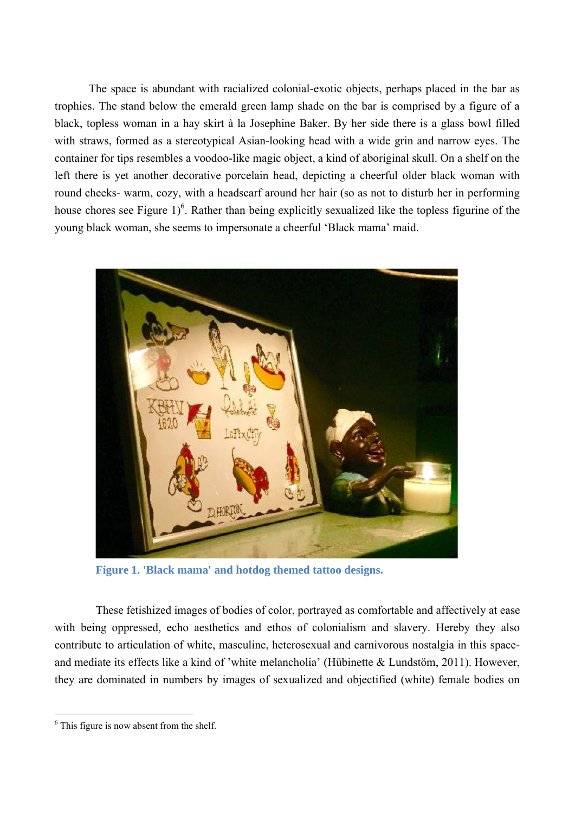The space is abundant with racialized colonial-exotic objects, perhaps placed in the bar as trophies. The stand below the emerald green lamp shade on the bar is comprised by a figure of a black, topless woman in a hay skirt à la Josephine Baker. By her side there is a glass bowl filled with straws, formed as a stereotypical Asian-looking head with a wide grin and narrow eyes. The container for tips resembles a voodoo-like magic object, a kind of aboriginal skull. On a shelf on the left there is yet another decorative porcelain head, depicting a cheerful older black woman with round cheeks- warm, cozy, with a headscarf around her hair (so as not to disturb her in performing house chores see Figure  $1)^6$ . Rather than being explicitly sexualized like the topless figurine of the young black woman, she seems to impersonate a cheerful 'Black mama' maid.



**Figure 1. 'Black mama' and hotdog themed tattoo designs.**

These fetishized images of bodies of color, portrayed as comfortable and affectively at ease with being oppressed, echo aesthetics and ethos of colonialism and slavery. Hereby they also contribute to articulation of white, masculine, heterosexual and carnivorous nostalgia in this spaceand mediate its effects like a kind of 'white melancholia' (Hübinette & Lundstöm, 2011). However, they are dominated in numbers by images of sexualized and objectified (white) female bodies on

 $<sup>6</sup>$  This figure is now absent from the shelf.</sup>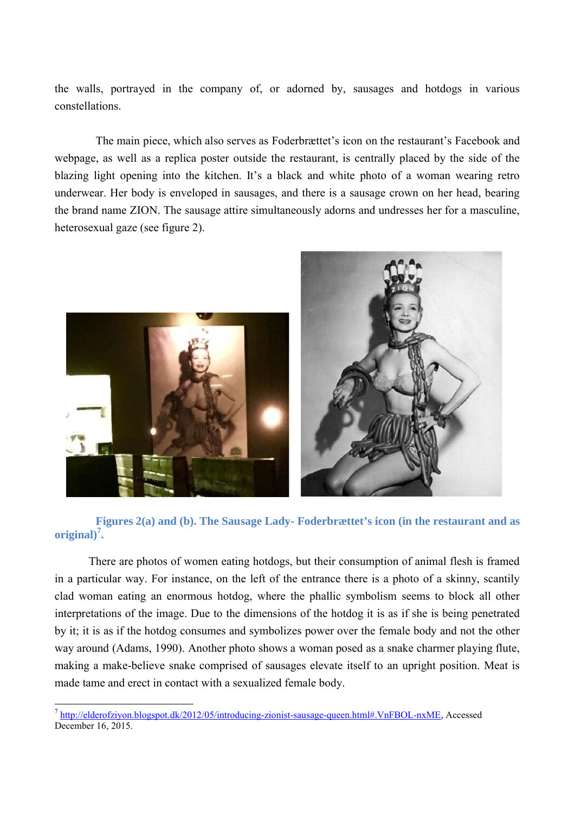the walls, portrayed in the company of, or adorned by, sausages and hotdogs in various constellations.

The main piece, which also serves as Foderbrættet's icon on the restaurant's Facebook and webpage, as well as a replica poster outside the restaurant, is centrally placed by the side of the blazing light opening into the kitchen. It's a black and white photo of a woman wearing retro underwear. Her body is enveloped in sausages, and there is a sausage crown on her head, bearing the brand name ZION. The sausage attire simultaneously adorns and undresses her for a masculine, heterosexual gaze (see figure 2).



**Figures 2(a) and (b). The Sausage Lady- Foderbrættet's icon (in the restaurant and as original)<sup>7</sup> .**

There are photos of women eating hotdogs, but their consumption of animal flesh is framed in a particular way. For instance, on the left of the entrance there is a photo of a skinny, scantily clad woman eating an enormous hotdog, where the phallic symbolism seems to block all other interpretations of the image. Due to the dimensions of the hotdog it is as if she is being penetrated by it; it is as if the hotdog consumes and symbolizes power over the female body and not the other way around (Adams, 1990). Another photo shows a woman posed as a snake charmer playing flute, making a make-believe snake comprised of sausages elevate itself to an upright position. Meat is made tame and erect in contact with a sexualized female body.

<sup>7</sup> [http://elderofziyon.blogspot.dk/2012/05/introducing-zionist-sausage-queen.html#.VnFBOL-nxME,](http://elderofziyon.blogspot.dk/2012/05/introducing-zionist-sausage-queen.html#.VnFBOL-nxME) Accessed December 16, 2015.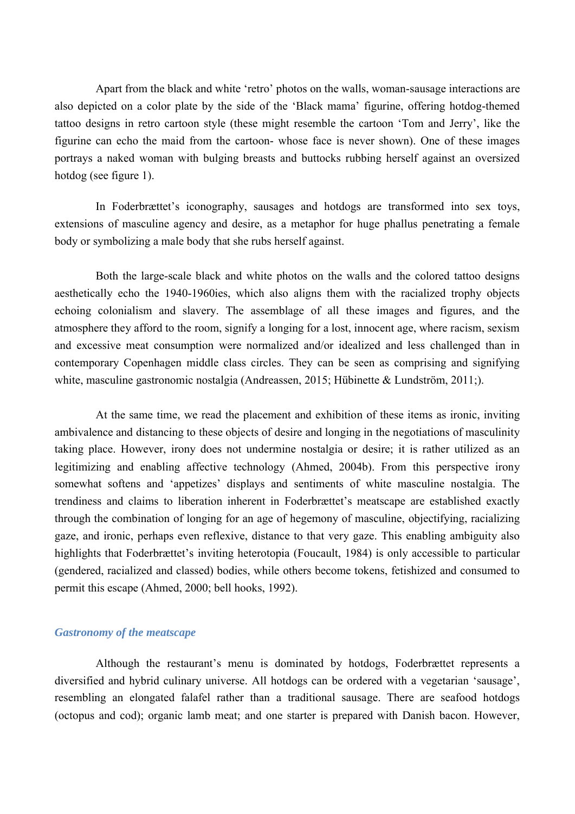Apart from the black and white 'retro' photos on the walls, woman-sausage interactions are also depicted on a color plate by the side of the 'Black mama' figurine, offering hotdog-themed tattoo designs in retro cartoon style (these might resemble the cartoon 'Tom and Jerry', like the figurine can echo the maid from the cartoon- whose face is never shown). One of these images portrays a naked woman with bulging breasts and buttocks rubbing herself against an oversized hotdog (see figure 1).

In Foderbrættet's iconography, sausages and hotdogs are transformed into sex toys, extensions of masculine agency and desire, as a metaphor for huge phallus penetrating a female body or symbolizing a male body that she rubs herself against.

Both the large-scale black and white photos on the walls and the colored tattoo designs aesthetically echo the 1940-1960ies, which also aligns them with the racialized trophy objects echoing colonialism and slavery. The assemblage of all these images and figures, and the atmosphere they afford to the room, signify a longing for a lost, innocent age, where racism, sexism and excessive meat consumption were normalized and/or idealized and less challenged than in contemporary Copenhagen middle class circles. They can be seen as comprising and signifying white, masculine gastronomic nostalgia (Andreassen, 2015; Hübinette & Lundström, 2011;).

At the same time, we read the placement and exhibition of these items as ironic, inviting ambivalence and distancing to these objects of desire and longing in the negotiations of masculinity taking place. However, irony does not undermine nostalgia or desire; it is rather utilized as an legitimizing and enabling affective technology (Ahmed, 2004b). From this perspective irony somewhat softens and 'appetizes' displays and sentiments of white masculine nostalgia. The trendiness and claims to liberation inherent in Foderbrættet's meatscape are established exactly through the combination of longing for an age of hegemony of masculine, objectifying, racializing gaze, and ironic, perhaps even reflexive, distance to that very gaze. This enabling ambiguity also highlights that Foderbrættet's inviting heterotopia (Foucault, 1984) is only accessible to particular (gendered, racialized and classed) bodies, while others become tokens, fetishized and consumed to permit this escape (Ahmed, 2000; bell hooks, 1992).

#### *Gastronomy of the meatscape*

Although the restaurant's menu is dominated by hotdogs, Foderbrættet represents a diversified and hybrid culinary universe. All hotdogs can be ordered with a vegetarian 'sausage', resembling an elongated falafel rather than a traditional sausage. There are seafood hotdogs (octopus and cod); organic lamb meat; and one starter is prepared with Danish bacon. However,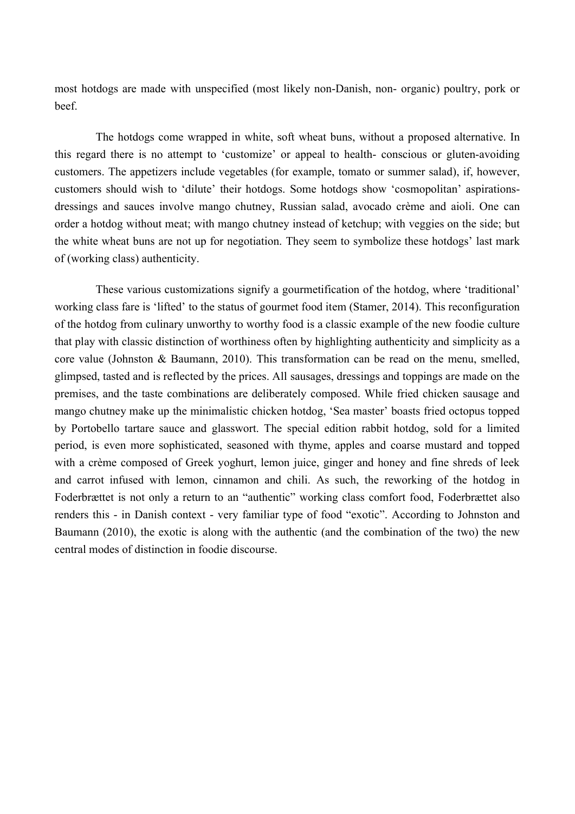most hotdogs are made with unspecified (most likely non-Danish, non- organic) poultry, pork or beef.

The hotdogs come wrapped in white, soft wheat buns, without a proposed alternative. In this regard there is no attempt to 'customize' or appeal to health- conscious or gluten-avoiding customers. The appetizers include vegetables (for example, tomato or summer salad), if, however, customers should wish to 'dilute' their hotdogs. Some hotdogs show 'cosmopolitan' aspirationsdressings and sauces involve mango chutney, Russian salad, avocado crème and aioli. One can order a hotdog without meat; with mango chutney instead of ketchup; with veggies on the side; but the white wheat buns are not up for negotiation. They seem to symbolize these hotdogs' last mark of (working class) authenticity.

These various customizations signify a gourmetification of the hotdog, where 'traditional' working class fare is 'lifted' to the status of gourmet food item (Stamer, 2014). This reconfiguration of the hotdog from culinary unworthy to worthy food is a classic example of the new foodie culture that play with classic distinction of worthiness often by highlighting authenticity and simplicity as a core value (Johnston & Baumann, 2010). This transformation can be read on the menu, smelled, glimpsed, tasted and is reflected by the prices. All sausages, dressings and toppings are made on the premises, and the taste combinations are deliberately composed. While fried chicken sausage and mango chutney make up the minimalistic chicken hotdog, 'Sea master' boasts fried octopus topped by Portobello tartare sauce and glasswort. The special edition rabbit hotdog, sold for a limited period, is even more sophisticated, seasoned with thyme, apples and coarse mustard and topped with a crème composed of Greek yoghurt, lemon juice, ginger and honey and fine shreds of leek and carrot infused with lemon, cinnamon and chili. As such, the reworking of the hotdog in Foderbrættet is not only a return to an "authentic" working class comfort food, Foderbrættet also renders this - in Danish context - very familiar type of food "exotic". According to Johnston and Baumann (2010), the exotic is along with the authentic (and the combination of the two) the new central modes of distinction in foodie discourse.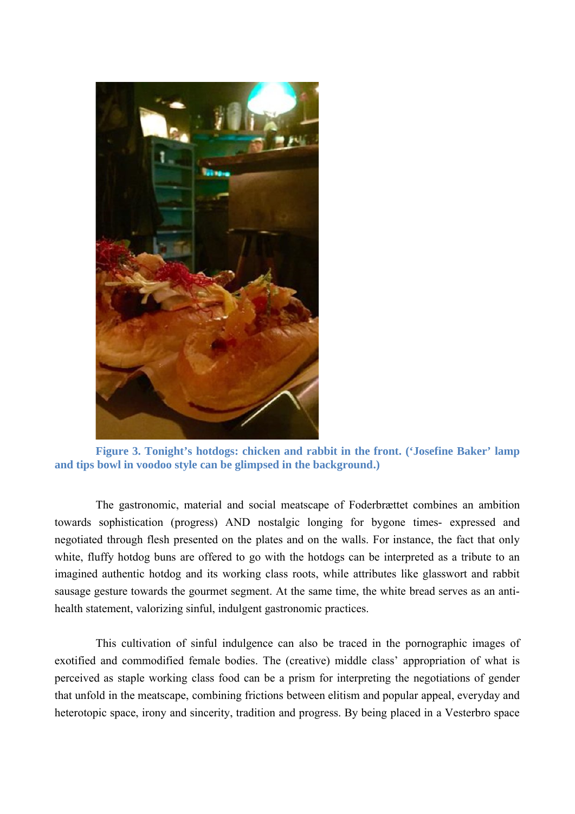

**Figure 3. Tonight's hotdogs: chicken and rabbit in the front. ('Josefine Baker' lamp and tips bowl in voodoo style can be glimpsed in the background.)**

The gastronomic, material and social meatscape of Foderbrættet combines an ambition towards sophistication (progress) AND nostalgic longing for bygone times- expressed and negotiated through flesh presented on the plates and on the walls. For instance, the fact that only white, fluffy hotdog buns are offered to go with the hotdogs can be interpreted as a tribute to an imagined authentic hotdog and its working class roots, while attributes like glasswort and rabbit sausage gesture towards the gourmet segment. At the same time, the white bread serves as an antihealth statement, valorizing sinful, indulgent gastronomic practices.

This cultivation of sinful indulgence can also be traced in the pornographic images of exotified and commodified female bodies. The (creative) middle class' appropriation of what is perceived as staple working class food can be a prism for interpreting the negotiations of gender that unfold in the meatscape, combining frictions between elitism and popular appeal, everyday and heterotopic space, irony and sincerity, tradition and progress. By being placed in a Vesterbro space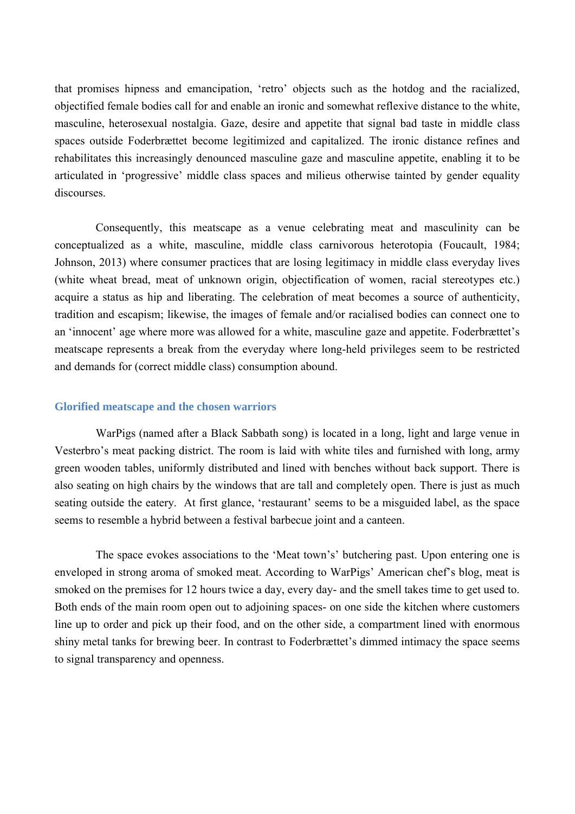that promises hipness and emancipation, 'retro' objects such as the hotdog and the racialized, objectified female bodies call for and enable an ironic and somewhat reflexive distance to the white, masculine, heterosexual nostalgia. Gaze, desire and appetite that signal bad taste in middle class spaces outside Foderbrættet become legitimized and capitalized. The ironic distance refines and rehabilitates this increasingly denounced masculine gaze and masculine appetite, enabling it to be articulated in 'progressive' middle class spaces and milieus otherwise tainted by gender equality discourses.

Consequently, this meatscape as a venue celebrating meat and masculinity can be conceptualized as a white, masculine, middle class carnivorous heterotopia (Foucault, 1984; Johnson, 2013) where consumer practices that are losing legitimacy in middle class everyday lives (white wheat bread, meat of unknown origin, objectification of women, racial stereotypes etc.) acquire a status as hip and liberating. The celebration of meat becomes a source of authenticity, tradition and escapism; likewise, the images of female and/or racialised bodies can connect one to an 'innocent' age where more was allowed for a white, masculine gaze and appetite. Foderbrættet's meatscape represents a break from the everyday where long-held privileges seem to be restricted and demands for (correct middle class) consumption abound.

#### **Glorified meatscape and the chosen warriors**

WarPigs (named after a Black Sabbath song) is located in a long, light and large venue in Vesterbro's meat packing district. The room is laid with white tiles and furnished with long, army green wooden tables, uniformly distributed and lined with benches without back support. There is also seating on high chairs by the windows that are tall and completely open. There is just as much seating outside the eatery. At first glance, 'restaurant' seems to be a misguided label, as the space seems to resemble a hybrid between a festival barbecue joint and a canteen.

The space evokes associations to the 'Meat town's' butchering past. Upon entering one is enveloped in strong aroma of smoked meat. According to WarPigs' American chef's blog, meat is smoked on the premises for 12 hours twice a day, every day- and the smell takes time to get used to. Both ends of the main room open out to adjoining spaces- on one side the kitchen where customers line up to order and pick up their food, and on the other side, a compartment lined with enormous shiny metal tanks for brewing beer. In contrast to Foderbrættet's dimmed intimacy the space seems to signal transparency and openness.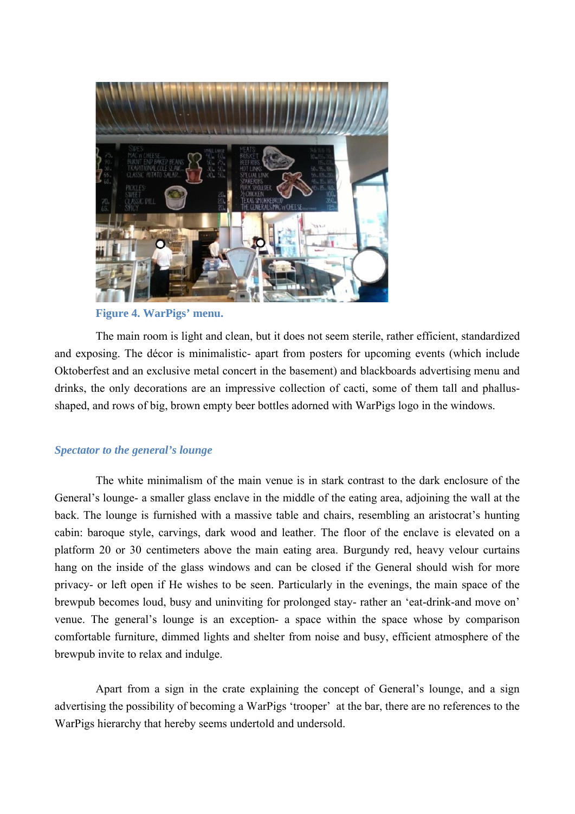

### **Figure 4. WarPigs' menu.**

The main room is light and clean, but it does not seem sterile, rather efficient, standardized and exposing. The décor is minimalistic- apart from posters for upcoming events (which include Oktoberfest and an exclusive metal concert in the basement) and blackboards advertising menu and drinks, the only decorations are an impressive collection of cacti, some of them tall and phallusshaped, and rows of big, brown empty beer bottles adorned with WarPigs logo in the windows.

#### *Spectator to the general's lounge*

The white minimalism of the main venue is in stark contrast to the dark enclosure of the General's lounge- a smaller glass enclave in the middle of the eating area, adjoining the wall at the back. The lounge is furnished with a massive table and chairs, resembling an aristocrat's hunting cabin: baroque style, carvings, dark wood and leather. The floor of the enclave is elevated on a platform 20 or 30 centimeters above the main eating area. Burgundy red, heavy velour curtains hang on the inside of the glass windows and can be closed if the General should wish for more privacy- or left open if He wishes to be seen. Particularly in the evenings, the main space of the brewpub becomes loud, busy and uninviting for prolonged stay- rather an 'eat-drink-and move on' venue. The general's lounge is an exception- a space within the space whose by comparison comfortable furniture, dimmed lights and shelter from noise and busy, efficient atmosphere of the brewpub invite to relax and indulge.

Apart from a sign in the crate explaining the concept of General's lounge, and a sign advertising the possibility of becoming a WarPigs 'trooper' at the bar, there are no references to the WarPigs hierarchy that hereby seems undertold and undersold.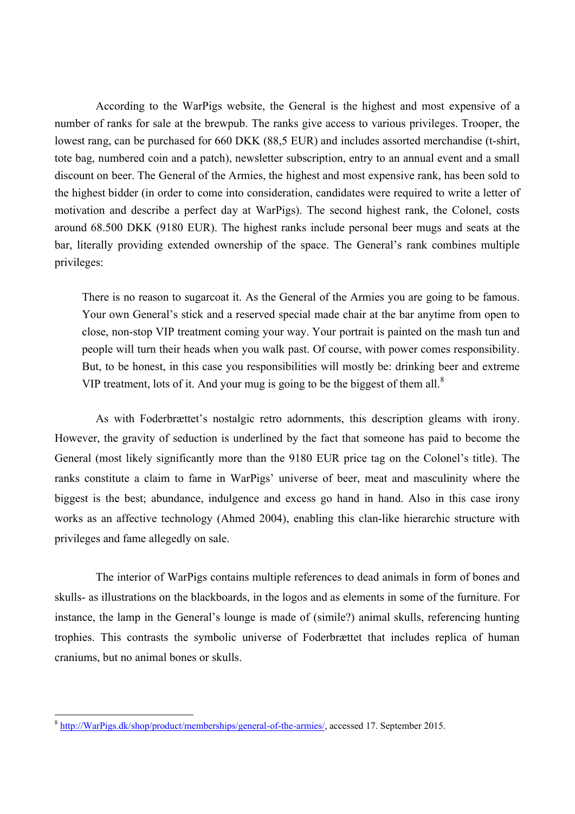According to the WarPigs website, the General is the highest and most expensive of a number of ranks for sale at the brewpub. The ranks give access to various privileges. Trooper, the lowest rang, can be purchased for 660 DKK (88,5 EUR) and includes assorted merchandise (t-shirt, tote bag, numbered coin and a patch), newsletter subscription, entry to an annual event and a small discount on beer. The General of the Armies, the highest and most expensive rank, has been sold to the highest bidder (in order to come into consideration, candidates were required to write a letter of motivation and describe a perfect day at WarPigs). The second highest rank, the Colonel, costs around 68.500 DKK (9180 EUR). The highest ranks include personal beer mugs and seats at the bar, literally providing extended ownership of the space. The General's rank combines multiple privileges:

There is no reason to sugarcoat it. As the General of the Armies you are going to be famous. Your own General's stick and a reserved special made chair at the bar anytime from open to close, non-stop VIP treatment coming your way. Your portrait is painted on the mash tun and people will turn their heads when you walk past. Of course, with power comes responsibility. But, to be honest, in this case you responsibilities will mostly be: drinking beer and extreme VIP treatment, lots of it. And your mug is going to be the biggest of them all.<sup>8</sup>

As with Foderbrættet's nostalgic retro adornments, this description gleams with irony. However, the gravity of seduction is underlined by the fact that someone has paid to become the General (most likely significantly more than the 9180 EUR price tag on the Colonel's title). The ranks constitute a claim to fame in WarPigs' universe of beer, meat and masculinity where the biggest is the best; abundance, indulgence and excess go hand in hand. Also in this case irony works as an affective technology (Ahmed 2004), enabling this clan-like hierarchic structure with privileges and fame allegedly on sale.

The interior of WarPigs contains multiple references to dead animals in form of bones and skulls- as illustrations on the blackboards, in the logos and as elements in some of the furniture. For instance, the lamp in the General's lounge is made of (simile?) animal skulls, referencing hunting trophies. This contrasts the symbolic universe of Foderbrættet that includes replica of human craniums, but no animal bones or skulls.

<sup>8</sup> [http://WarPigs.dk/shop/product/memberships/general-of-the-armies/,](http://warpigs.dk/shop/product/memberships/general-of-the-armies/) accessed 17. September 2015.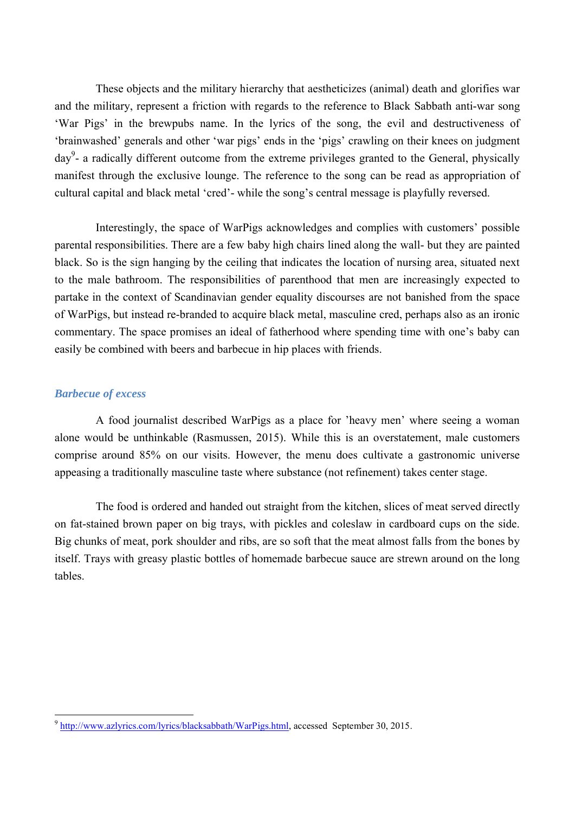These objects and the military hierarchy that aestheticizes (animal) death and glorifies war and the military, represent a friction with regards to the reference to Black Sabbath anti-war song 'War Pigs' in the brewpubs name. In the lyrics of the song, the evil and destructiveness of 'brainwashed' generals and other 'war pigs' ends in the 'pigs' crawling on their knees on judgment day<sup>9</sup>- a radically different outcome from the extreme privileges granted to the General, physically manifest through the exclusive lounge. The reference to the song can be read as appropriation of cultural capital and black metal 'cred'- while the song's central message is playfully reversed.

Interestingly, the space of WarPigs acknowledges and complies with customers' possible parental responsibilities. There are a few baby high chairs lined along the wall- but they are painted black. So is the sign hanging by the ceiling that indicates the location of nursing area, situated next to the male bathroom. The responsibilities of parenthood that men are increasingly expected to partake in the context of Scandinavian gender equality discourses are not banished from the space of WarPigs, but instead re-branded to acquire black metal, masculine cred, perhaps also as an ironic commentary. The space promises an ideal of fatherhood where spending time with one's baby can easily be combined with beers and barbecue in hip places with friends.

#### *Barbecue of excess*

A food journalist described WarPigs as a place for 'heavy men' where seeing a woman alone would be unthinkable (Rasmussen, 2015). While this is an overstatement, male customers comprise around 85% on our visits. However, the menu does cultivate a gastronomic universe appeasing a traditionally masculine taste where substance (not refinement) takes center stage.

The food is ordered and handed out straight from the kitchen, slices of meat served directly on fat-stained brown paper on big trays, with pickles and coleslaw in cardboard cups on the side. Big chunks of meat, pork shoulder and ribs, are so soft that the meat almost falls from the bones by itself. Trays with greasy plastic bottles of homemade barbecue sauce are strewn around on the long tables.

<sup>9</sup> [http://www.azlyrics.com/lyrics/blacksabbath/WarPigs.html,](http://www.azlyrics.com/lyrics/blacksabbath/warpigs.html) accessed September 30, 2015.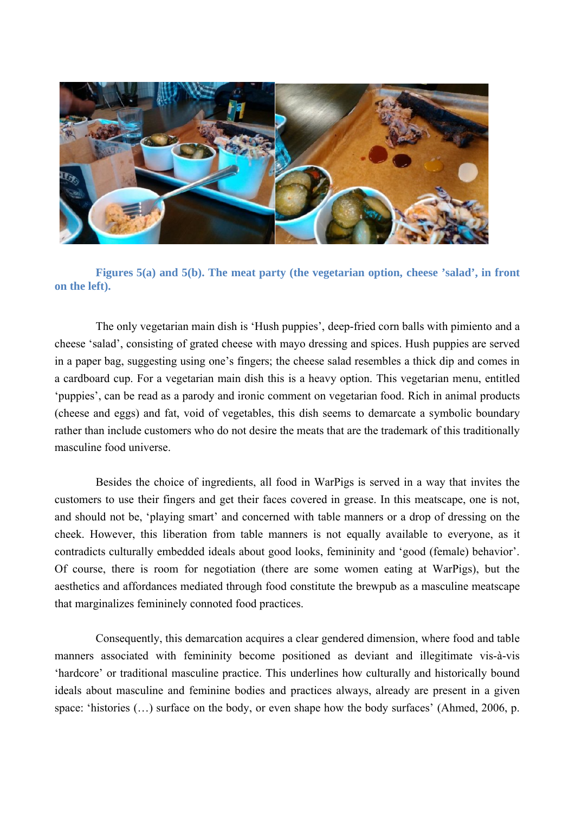

**Figures 5(a) and 5(b). The meat party (the vegetarian option, cheese 'salad', in front on the left).**

The only vegetarian main dish is 'Hush puppies', deep-fried corn balls with pimiento and a cheese 'salad', consisting of grated cheese with mayo dressing and spices. Hush puppies are served in a paper bag, suggesting using one's fingers; the cheese salad resembles a thick dip and comes in a cardboard cup. For a vegetarian main dish this is a heavy option. This vegetarian menu, entitled 'puppies', can be read as a parody and ironic comment on vegetarian food. Rich in animal products (cheese and eggs) and fat, void of vegetables, this dish seems to demarcate a symbolic boundary rather than include customers who do not desire the meats that are the trademark of this traditionally masculine food universe.

Besides the choice of ingredients, all food in WarPigs is served in a way that invites the customers to use their fingers and get their faces covered in grease. In this meatscape, one is not, and should not be, 'playing smart' and concerned with table manners or a drop of dressing on the cheek. However, this liberation from table manners is not equally available to everyone, as it contradicts culturally embedded ideals about good looks, femininity and 'good (female) behavior'. Of course, there is room for negotiation (there are some women eating at WarPigs), but the aesthetics and affordances mediated through food constitute the brewpub as a masculine meatscape that marginalizes femininely connoted food practices.

Consequently, this demarcation acquires a clear gendered dimension, where food and table manners associated with femininity become positioned as deviant and illegitimate vis-à-vis 'hardcore' or traditional masculine practice. This underlines how culturally and historically bound ideals about masculine and feminine bodies and practices always, already are present in a given space: 'histories (...) surface on the body, or even shape how the body surfaces' (Ahmed, 2006, p.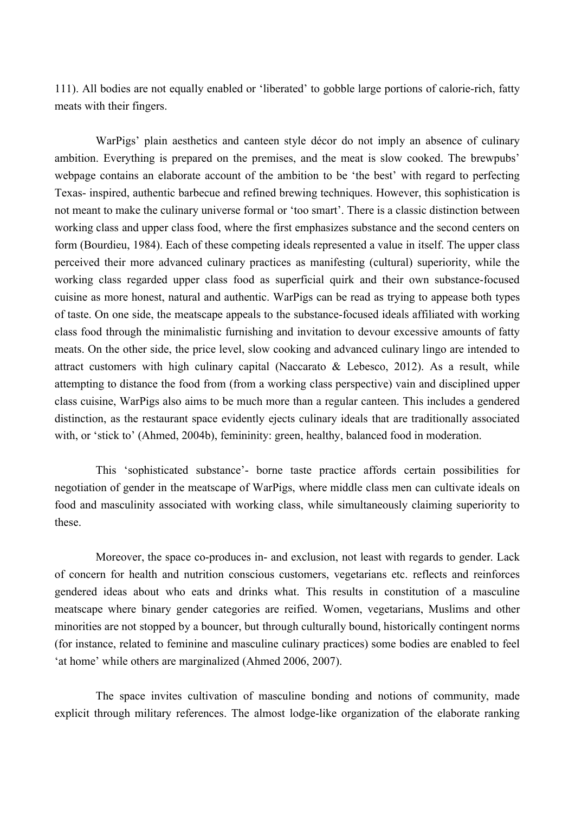111). All bodies are not equally enabled or 'liberated' to gobble large portions of calorie-rich, fatty meats with their fingers.

WarPigs' plain aesthetics and canteen style décor do not imply an absence of culinary ambition. Everything is prepared on the premises, and the meat is slow cooked. The brewpubs' webpage contains an elaborate account of the ambition to be 'the best' with regard to perfecting Texas- inspired, authentic barbecue and refined brewing techniques. However, this sophistication is not meant to make the culinary universe formal or 'too smart'. There is a classic distinction between working class and upper class food, where the first emphasizes substance and the second centers on form (Bourdieu, 1984). Each of these competing ideals represented a value in itself. The upper class perceived their more advanced culinary practices as manifesting (cultural) superiority, while the working class regarded upper class food as superficial quirk and their own substance-focused cuisine as more honest, natural and authentic. WarPigs can be read as trying to appease both types of taste. On one side, the meatscape appeals to the substance-focused ideals affiliated with working class food through the minimalistic furnishing and invitation to devour excessive amounts of fatty meats. On the other side, the price level, slow cooking and advanced culinary lingo are intended to attract customers with high culinary capital (Naccarato & Lebesco, 2012). As a result, while attempting to distance the food from (from a working class perspective) vain and disciplined upper class cuisine, WarPigs also aims to be much more than a regular canteen. This includes a gendered distinction, as the restaurant space evidently ejects culinary ideals that are traditionally associated with, or 'stick to' (Ahmed, 2004b), femininity: green, healthy, balanced food in moderation.

This 'sophisticated substance'- borne taste practice affords certain possibilities for negotiation of gender in the meatscape of WarPigs, where middle class men can cultivate ideals on food and masculinity associated with working class, while simultaneously claiming superiority to these.

Moreover, the space co-produces in- and exclusion, not least with regards to gender. Lack of concern for health and nutrition conscious customers, vegetarians etc. reflects and reinforces gendered ideas about who eats and drinks what. This results in constitution of a masculine meatscape where binary gender categories are reified. Women, vegetarians, Muslims and other minorities are not stopped by a bouncer, but through culturally bound, historically contingent norms (for instance, related to feminine and masculine culinary practices) some bodies are enabled to feel 'at home' while others are marginalized (Ahmed 2006, 2007).

The space invites cultivation of masculine bonding and notions of community, made explicit through military references. The almost lodge-like organization of the elaborate ranking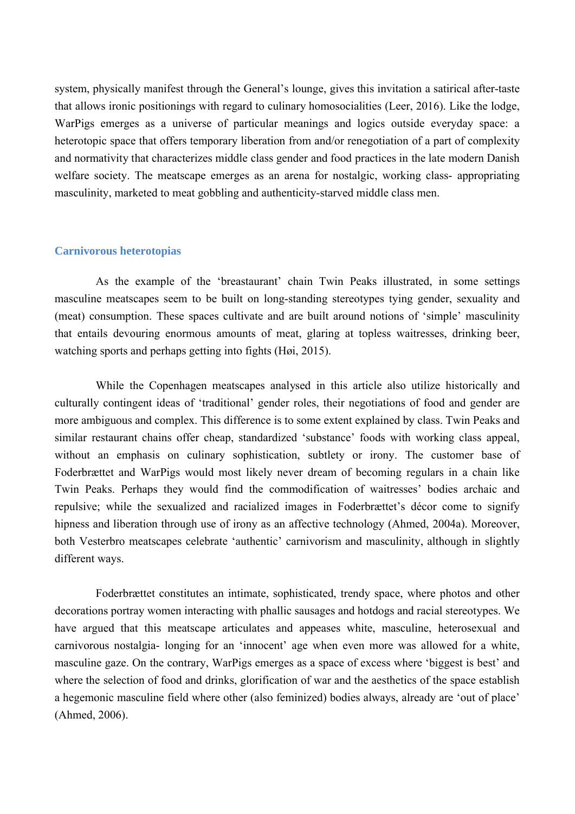system, physically manifest through the General's lounge, gives this invitation a satirical after-taste that allows ironic positionings with regard to culinary homosocialities (Leer, 2016). Like the lodge, WarPigs emerges as a universe of particular meanings and logics outside everyday space: a heterotopic space that offers temporary liberation from and/or renegotiation of a part of complexity and normativity that characterizes middle class gender and food practices in the late modern Danish welfare society. The meatscape emerges as an arena for nostalgic, working class- appropriating masculinity, marketed to meat gobbling and authenticity-starved middle class men.

#### **Carnivorous heterotopias**

As the example of the 'breastaurant' chain Twin Peaks illustrated, in some settings masculine meatscapes seem to be built on long-standing stereotypes tying gender, sexuality and (meat) consumption. These spaces cultivate and are built around notions of 'simple' masculinity that entails devouring enormous amounts of meat, glaring at topless waitresses, drinking beer, watching sports and perhaps getting into fights (Høi, 2015).

While the Copenhagen meatscapes analysed in this article also utilize historically and culturally contingent ideas of 'traditional' gender roles, their negotiations of food and gender are more ambiguous and complex. This difference is to some extent explained by class. Twin Peaks and similar restaurant chains offer cheap, standardized 'substance' foods with working class appeal, without an emphasis on culinary sophistication, subtlety or irony. The customer base of Foderbrættet and WarPigs would most likely never dream of becoming regulars in a chain like Twin Peaks. Perhaps they would find the commodification of waitresses' bodies archaic and repulsive; while the sexualized and racialized images in Foderbrættet's décor come to signify hipness and liberation through use of irony as an affective technology (Ahmed, 2004a). Moreover, both Vesterbro meatscapes celebrate 'authentic' carnivorism and masculinity, although in slightly different ways.

Foderbrættet constitutes an intimate, sophisticated, trendy space, where photos and other decorations portray women interacting with phallic sausages and hotdogs and racial stereotypes. We have argued that this meatscape articulates and appeases white, masculine, heterosexual and carnivorous nostalgia- longing for an 'innocent' age when even more was allowed for a white, masculine gaze. On the contrary, WarPigs emerges as a space of excess where 'biggest is best' and where the selection of food and drinks, glorification of war and the aesthetics of the space establish a hegemonic masculine field where other (also feminized) bodies always, already are 'out of place' (Ahmed, 2006).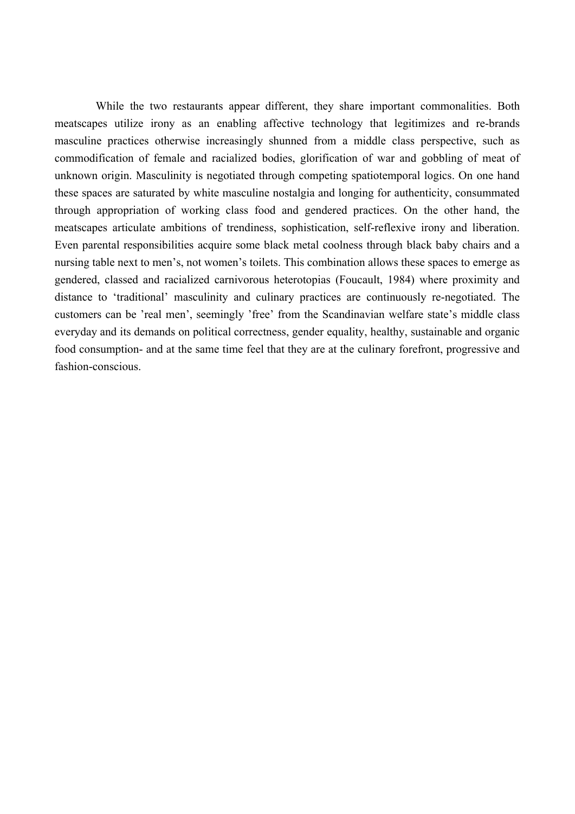While the two restaurants appear different, they share important commonalities. Both meatscapes utilize irony as an enabling affective technology that legitimizes and re-brands masculine practices otherwise increasingly shunned from a middle class perspective, such as commodification of female and racialized bodies, glorification of war and gobbling of meat of unknown origin. Masculinity is negotiated through competing spatiotemporal logics. On one hand these spaces are saturated by white masculine nostalgia and longing for authenticity, consummated through appropriation of working class food and gendered practices. On the other hand, the meatscapes articulate ambitions of trendiness, sophistication, self-reflexive irony and liberation. Even parental responsibilities acquire some black metal coolness through black baby chairs and a nursing table next to men's, not women's toilets. This combination allows these spaces to emerge as gendered, classed and racialized carnivorous heterotopias (Foucault, 1984) where proximity and distance to 'traditional' masculinity and culinary practices are continuously re-negotiated. The customers can be 'real men', seemingly 'free' from the Scandinavian welfare state's middle class everyday and its demands on political correctness, gender equality, healthy, sustainable and organic food consumption- and at the same time feel that they are at the culinary forefront, progressive and fashion-conscious.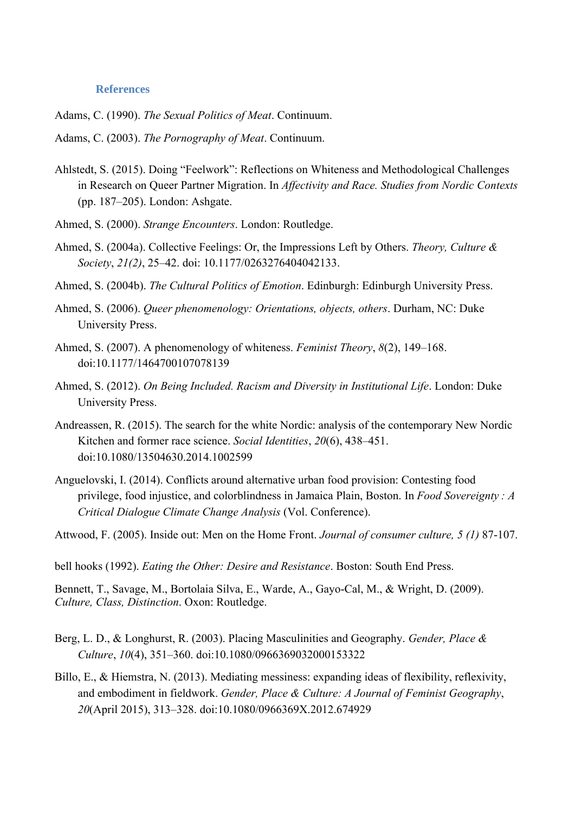#### **References**

Adams, C. (1990). *The Sexual Politics of Meat*. Continuum.

Adams, C. (2003). *The Pornography of Meat*. Continuum.

- Ahlstedt, S. (2015). Doing "Feelwork": Reflections on Whiteness and Methodological Challenges in Research on Queer Partner Migration. In *Affectivity and Race. Studies from Nordic Contexts* (pp. 187–205). London: Ashgate.
- Ahmed, S. (2000). *Strange Encounters*. London: Routledge.
- Ahmed, S. (2004a). Collective Feelings: Or, the Impressions Left by Others. *Theory, Culture & Society*, *21(2)*, 25–42. doi: 10.1177/0263276404042133.
- Ahmed, S. (2004b). *The Cultural Politics of Emotion*. Edinburgh: Edinburgh University Press.
- Ahmed, S. (2006). *Queer phenomenology: Orientations, objects, others*. Durham, NC: Duke University Press.
- Ahmed, S. (2007). A phenomenology of whiteness. *Feminist Theory*, *8*(2), 149–168. doi:10.1177/1464700107078139
- Ahmed, S. (2012). *On Being Included. Racism and Diversity in Institutional Life*. London: Duke University Press.
- Andreassen, R. (2015). The search for the white Nordic: analysis of the contemporary New Nordic Kitchen and former race science. *Social Identities*, *20*(6), 438–451. doi:10.1080/13504630.2014.1002599
- Anguelovski, I. (2014). Conflicts around alternative urban food provision: Contesting food privilege, food injustice, and colorblindness in Jamaica Plain, Boston. In *Food Sovereignty : A Critical Dialogue Climate Change Analysis* (Vol. Conference).

Attwood, F. (2005). Inside out: Men on the Home Front. *Journal of consumer culture, 5 (1)* 87-107.

bell hooks (1992). *Eating the Other: Desire and Resistance*. Boston: South End Press.

Bennett, T., Savage, M., Bortolaia Silva, E., Warde, A., Gayo-Cal, M., & Wright, D. (2009). *Culture, Class, Distinction*. Oxon: Routledge.

- Berg, L. D., & Longhurst, R. (2003). Placing Masculinities and Geography. *Gender, Place & Culture*, *10*(4), 351–360. doi:10.1080/0966369032000153322
- Billo, E., & Hiemstra, N. (2013). Mediating messiness: expanding ideas of flexibility, reflexivity, and embodiment in fieldwork. *Gender, Place & Culture: A Journal of Feminist Geography*, *20*(April 2015), 313–328. doi:10.1080/0966369X.2012.674929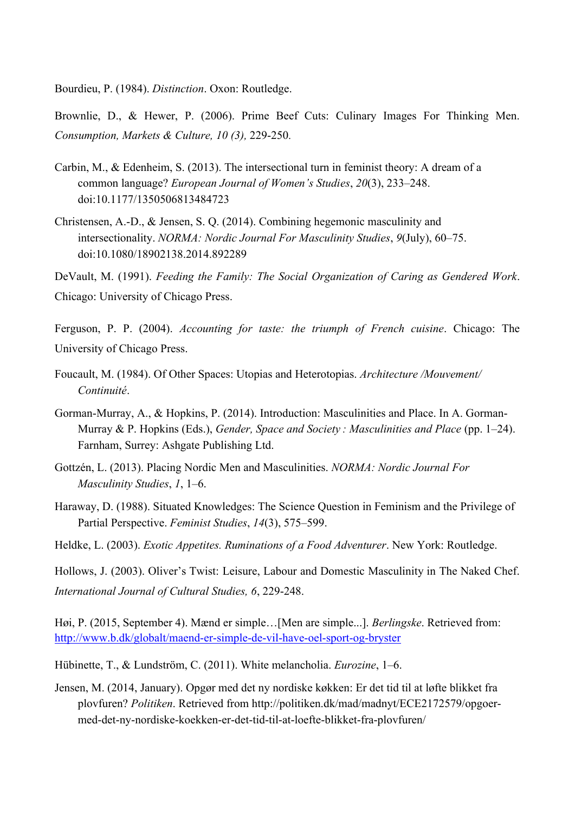Bourdieu, P. (1984). *Distinction*. Oxon: Routledge.

Brownlie, D., & Hewer, P. (2006). Prime Beef Cuts: Culinary Images For Thinking Men. *Consumption, Markets & Culture, 10 (3),* 229-250*.*

- Carbin, M., & Edenheim, S. (2013). The intersectional turn in feminist theory: A dream of a common language? *European Journal of Women's Studies*, *20*(3), 233–248. doi:10.1177/1350506813484723
- Christensen, A.-D., & Jensen, S. Q. (2014). Combining hegemonic masculinity and intersectionality. *NORMA: Nordic Journal For Masculinity Studies*, *9*(July), 60–75. doi:10.1080/18902138.2014.892289

DeVault, M. (1991). *Feeding the Family: The Social Organization of Caring as Gendered Work*. Chicago: University of Chicago Press.

- Ferguson, P. P. (2004). *Accounting for taste: the triumph of French cuisine*. Chicago: The University of Chicago Press.
- Foucault, M. (1984). Of Other Spaces: Utopias and Heterotopias. *Architecture /Mouvement/ Continuité*.
- Gorman-Murray, A., & Hopkins, P. (2014). Introduction: Masculinities and Place. In A. Gorman-Murray & P. Hopkins (Eds.), *Gender, Space and Society : Masculinities and Place* (pp. 1–24). Farnham, Surrey: Ashgate Publishing Ltd.
- Gottzén, L. (2013). Placing Nordic Men and Masculinities. *NORMA: Nordic Journal For Masculinity Studies*, *1*, 1–6.
- Haraway, D. (1988). Situated Knowledges: The Science Question in Feminism and the Privilege of Partial Perspective. *Feminist Studies*, *14*(3), 575–599.
- Heldke, L. (2003). *Exotic Appetites. Ruminations of a Food Adventurer*. New York: Routledge.

Hollows, J. (2003). Oliver's Twist: Leisure, Labour and Domestic Masculinity in The Naked Chef. *International Journal of Cultural Studies, 6*, 229-248.

Høi, P. (2015, September 4). Mænd er simple…[Men are simple...]. *Berlingske*. Retrieved from: <http://www.b.dk/globalt/maend-er-simple-de-vil-have-oel-sport-og-bryster>

Hübinette, T., & Lundström, C. (2011). White melancholia. *Eurozine*, 1–6.

Jensen, M. (2014, January). Opgør med det ny nordiske køkken: Er det tid til at løfte blikket fra plovfuren? *Politiken*. Retrieved from http://politiken.dk/mad/madnyt/ECE2172579/opgoermed-det-ny-nordiske-koekken-er-det-tid-til-at-loefte-blikket-fra-plovfuren/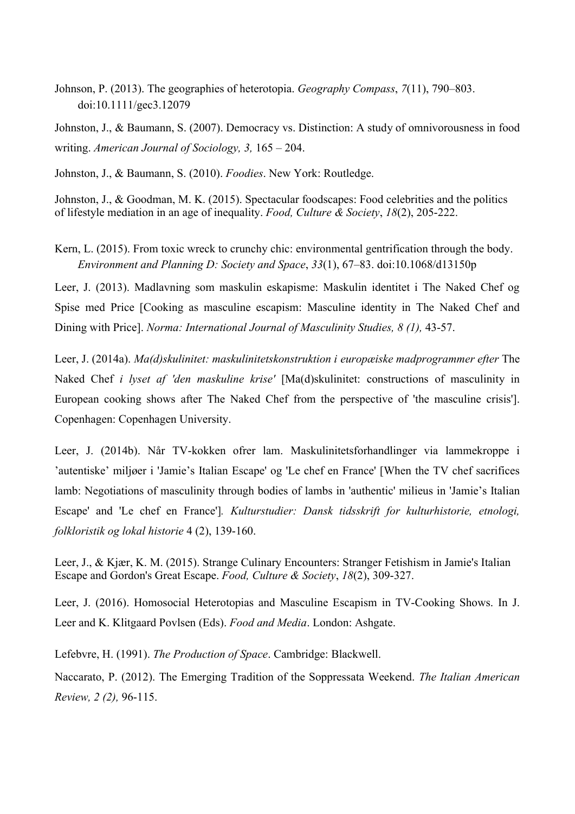Johnson, P. (2013). The geographies of heterotopia. *Geography Compass*, *7*(11), 790–803. doi:10.1111/gec3.12079

Johnston, J., & Baumann, S. (2007). Democracy vs. Distinction: A study of omnivorousness in food writing. *American Journal of Sociology, 3,* 165 – 204.

Johnston, J., & Baumann, S. (2010). *Foodies*. New York: Routledge.

Johnston, J., & Goodman, M. K. (2015). Spectacular foodscapes: Food celebrities and the politics of lifestyle mediation in an age of inequality. *Food, Culture & Society*, *18*(2), 205-222.

Kern, L. (2015). From toxic wreck to crunchy chic: environmental gentrification through the body. *Environment and Planning D: Society and Space*, *33*(1), 67–83. doi:10.1068/d13150p

Leer, J. (2013). Madlavning som maskulin eskapisme: Maskulin identitet i The Naked Chef og Spise med Price [Cooking as masculine escapism: Masculine identity in The Naked Chef and Dining with Price]. *Norma: International Journal of Masculinity Studies, 8 (1),* 43-57.

Leer, J. (2014a). *Ma(d)skulinitet: maskulinitetskonstruktion i europæiske madprogrammer efter* The Naked Chef *i lyset af 'den maskuline krise'* [Ma(d)skulinitet: constructions of masculinity in European cooking shows after The Naked Chef from the perspective of 'the masculine crisis']. Copenhagen: Copenhagen University.

Leer, J. (2014b). Når TV-kokken ofrer lam. Maskulinitetsforhandlinger via lammekroppe i 'autentiske' miljøer i 'Jamie's Italian Escape' og 'Le chef en France' [When the TV chef sacrifices lamb: Negotiations of masculinity through bodies of lambs in 'authentic' milieus in 'Jamie's Italian Escape' and 'Le chef en France']*. Kulturstudier: Dansk tidsskrift for kulturhistorie, etnologi, folkloristik og lokal historie* 4 (2), 139-160.

Leer, J., & Kjær, K. M. (2015). Strange Culinary Encounters: Stranger Fetishism in Jamie's Italian Escape and Gordon's Great Escape. *Food, Culture & Society*, *18*(2), 309-327.

Leer, J. (2016). Homosocial Heterotopias and Masculine Escapism in TV-Cooking Shows. In J. Leer and K. Klitgaard Povlsen (Eds). *Food and Media*. London: Ashgate.

Lefebvre, H. (1991). *The Production of Space*. Cambridge: Blackwell.

Naccarato, P. (2012). The Emerging Tradition of the Soppressata Weekend. *The Italian American Review, 2 (2),* 96-115.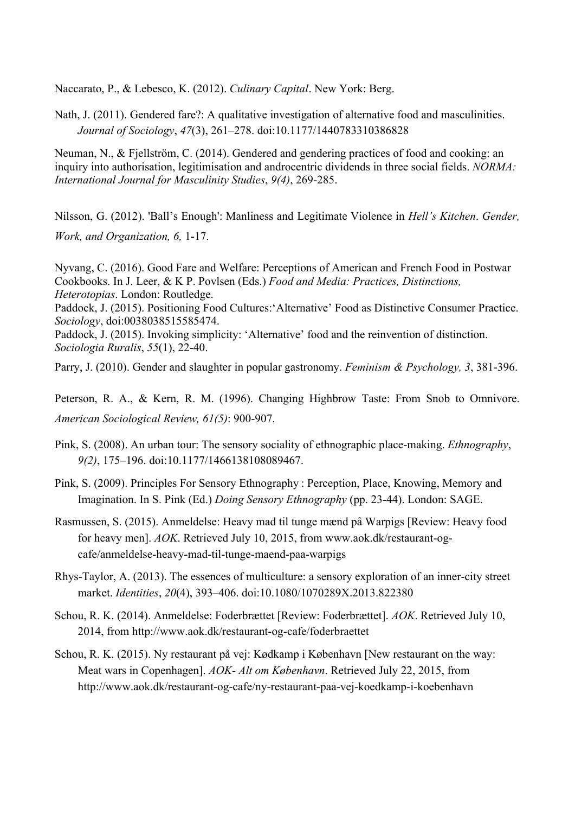Naccarato, P., & Lebesco, K. (2012). *Culinary Capital*. New York: Berg.

Nath, J. (2011). Gendered fare?: A qualitative investigation of alternative food and masculinities. *Journal of Sociology*, *47*(3), 261–278. doi:10.1177/1440783310386828

Neuman, N., & Fjellström, C. (2014). Gendered and gendering practices of food and cooking: an inquiry into authorisation, legitimisation and androcentric dividends in three social fields. *NORMA: International Journal for Masculinity Studies*, *9(4)*, 269-285.

Nilsson, G. (2012). 'Ball's Enough': Manliness and Legitimate Violence in *Hell's Kitchen*. *Gender, Work, and Organization, 6,* 1-17.

Nyvang, C. (2016). Good Fare and Welfare: Perceptions of American and French Food in Postwar Cookbooks. In J. Leer, & K P. Povlsen (Eds.) *Food and Media: Practices, Distinctions, Heterotopias*. London: Routledge.

Paddock, J. (2015). Positioning Food Cultures:'Alternative' Food as Distinctive Consumer Practice. *Sociology*, doi:0038038515585474.

Paddock, J. (2015). Invoking simplicity: 'Alternative' food and the reinvention of distinction. *Sociologia Ruralis*, *55*(1), 22-40.

Parry, J. (2010). Gender and slaughter in popular gastronomy. *Feminism & Psychology, 3*, 381-396.

Peterson, R. A., & Kern, R. M. (1996). Changing Highbrow Taste: From Snob to Omnivore. *American Sociological Review, 61(5)*: 900-907.

- Pink, S. (2008). An urban tour: The sensory sociality of ethnographic place-making. *Ethnography*, *9(2)*, 175–196. doi:10.1177/1466138108089467.
- Pink, S. (2009). Principles For Sensory Ethnography : Perception, Place, Knowing, Memory and Imagination. In S. Pink (Ed.) *Doing Sensory Ethnography* (pp. 23-44). London: SAGE.
- Rasmussen, S. (2015). Anmeldelse: Heavy mad til tunge mænd på Warpigs [Review: Heavy food for heavy men]. *AOK*. Retrieved July 10, 2015, from www.aok.dk/restaurant-ogcafe/anmeldelse-heavy-mad-til-tunge-maend-paa-warpigs
- Rhys-Taylor, A. (2013). The essences of multiculture: a sensory exploration of an inner-city street market. *Identities*, *20*(4), 393–406. doi:10.1080/1070289X.2013.822380
- Schou, R. K. (2014). Anmeldelse: Foderbrættet [Review: Foderbrættet]. *AOK*. Retrieved July 10, 2014, from http://www.aok.dk/restaurant-og-cafe/foderbraettet
- Schou, R. K. (2015). Ny restaurant på vej: Kødkamp i København [New restaurant on the way: Meat wars in Copenhagen]. *AOK- Alt om København*. Retrieved July 22, 2015, from http://www.aok.dk/restaurant-og-cafe/ny-restaurant-paa-vej-koedkamp-i-koebenhavn